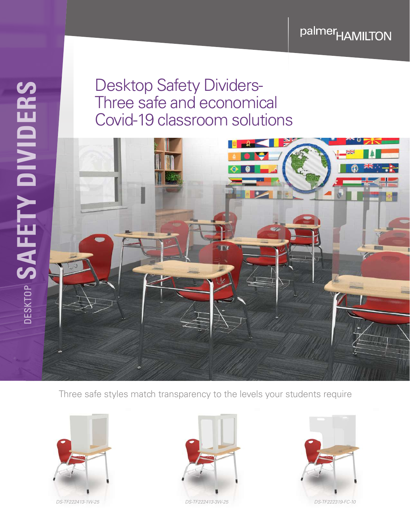palmer<sub>HAMILTON</sub>

## Desktop Safety Dividers-Three safe and economical Covid-19 classroom solutions



Three safe styles match transparency to the levels your students require